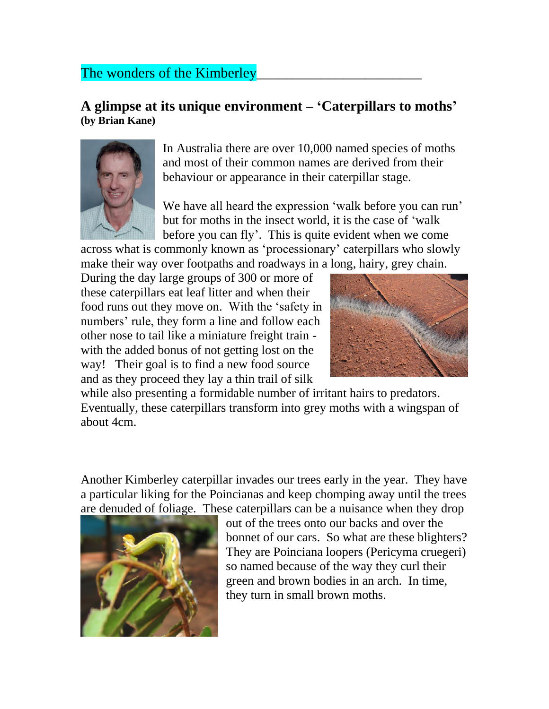## The wonders of the Kimberley

## **A glimpse at its unique environment – 'Caterpillars to moths' (by Brian Kane)**



In Australia there are over 10,000 named species of moths and most of their common names are derived from their behaviour or appearance in their caterpillar stage.

We have all heard the expression 'walk before you can run' but for moths in the insect world, it is the case of 'walk before you can fly'. This is quite evident when we come

across what is commonly known as 'processionary' caterpillars who slowly make their way over footpaths and roadways in a long, hairy, grey chain.

During the day large groups of 300 or more of these caterpillars eat leaf litter and when their food runs out they move on. With the 'safety in numbers' rule, they form a line and follow each other nose to tail like a miniature freight train with the added bonus of not getting lost on the way! Their goal is to find a new food source and as they proceed they lay a thin trail of silk



while also presenting a formidable number of irritant hairs to predators. Eventually, these caterpillars transform into grey moths with a wingspan of about 4cm.

Another Kimberley caterpillar invades our trees early in the year. They have a particular liking for the Poincianas and keep chomping away until the trees are denuded of foliage. These caterpillars can be a nuisance when they drop



out of the trees onto our backs and over the bonnet of our cars. So what are these blighters? They are Poinciana loopers (Pericyma cruegeri) so named because of the way they curl their green and brown bodies in an arch. In time, they turn in small brown moths.